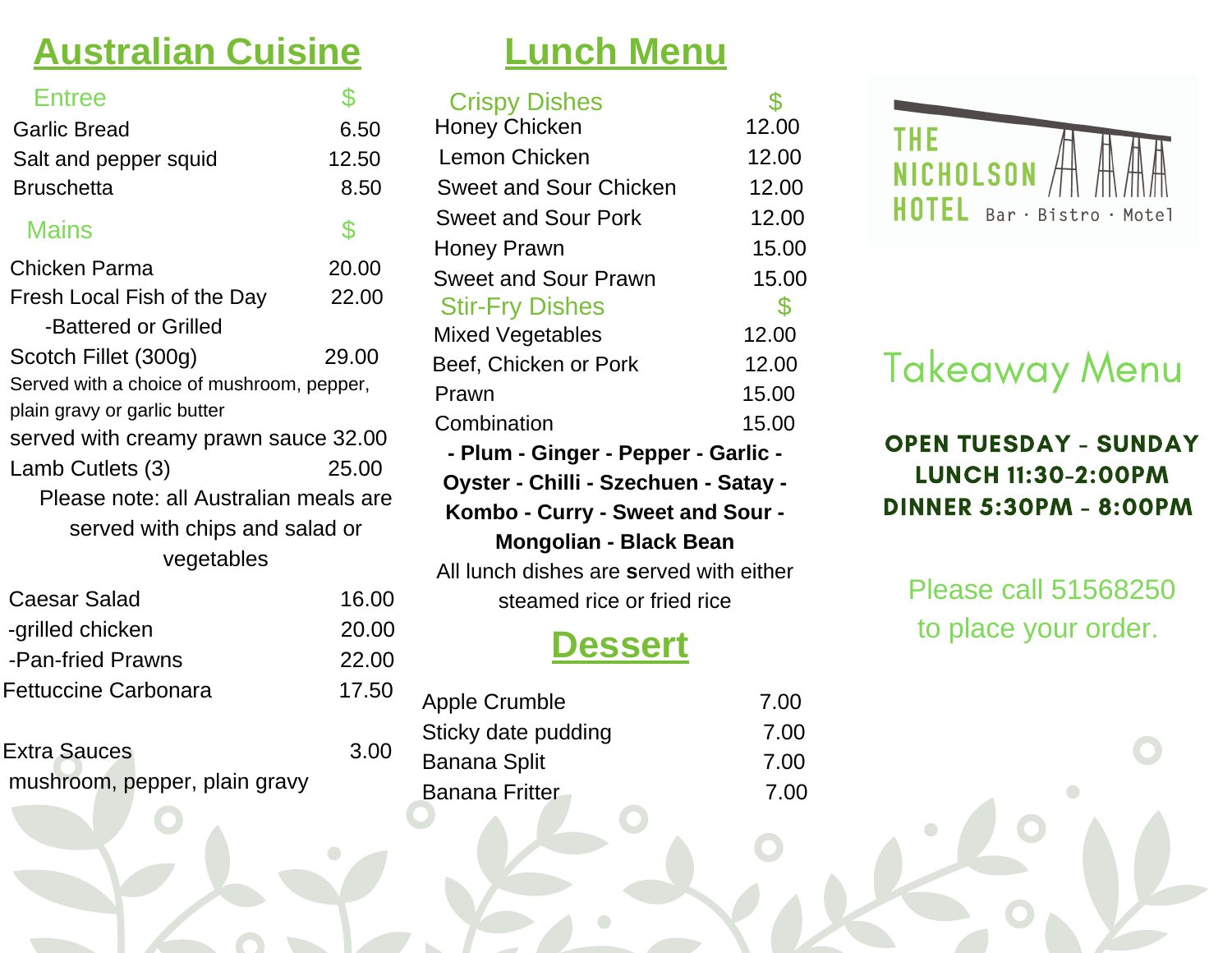## **Australian Cuisine**

| Entree                                    |       |
|-------------------------------------------|-------|
| <b>Garlic Bread</b>                       | 6.50  |
| Salt and pepper squid                     | 12.50 |
| <b>Bruschetta</b>                         | 8.50  |
| <b>Mains</b>                              | \$    |
| Chicken Parma                             | 20.00 |
| Fresh Local Fish of the Day               | 22.00 |
| -Battered or Grilled                      |       |
| Scotch Fillet (300g)                      | 29.00 |
| Served with a choice of mushroom, pepper, |       |
| plain gravy or garlic butter              |       |
| served with creamy prawn sauce 32.00      |       |
| Lamb Cutlets (3)                          | 25.00 |
| Please note: all Australian meals are     |       |
| served with chips and salad or            |       |
| vegetables                                |       |

| Caesar Salad         | 16.00 |
|----------------------|-------|
| -grilled chicken     | 20.00 |
| -Pan-fried Prawns    | 22.00 |
| Fettuccine Carbonara | 17.50 |
|                      |       |

Extra Sauces 3.00 mushroom, pepper, plain gravy

### **Lunch Menu**

| <b>Crispy Dishes</b>                    | \$.            |
|-----------------------------------------|----------------|
| <b>Honey Chicken</b>                    | 12.00          |
| Lemon Chicken                           | 12.00          |
| Sweet and Sour Chicken                  | 12.00          |
| Sweet and Sour Pork                     | 12.00          |
| Honey Prawn                             | 15.00          |
| <b>Sweet and Sour Prawn</b>             | 15.00          |
| <b>Stir-Fry Dishes</b>                  | $\mathfrak{F}$ |
| <b>Mixed Vegetables</b>                 | 12.00          |
| Beef, Chicken or Pork                   | 12.00          |
| Prawn                                   | 15.00          |
| Combination                             | 15.00          |
| - Plum - Ginger - Pepper - Garlic -     |                |
| Oyster - Chilli - Szechuen - Satay -    |                |
| Kombo - Curry - Sweet and Sour -        |                |
| <b>Mongolian - Black Bean</b>           |                |
| All lunch dishes are served with either |                |
| steamed rice or fried rice              |                |
|                                         |                |

### **Dessert**

| Apple Crumble         | 7.00 |
|-----------------------|------|
| Sticky date pudding   | 7.00 |
| <b>Banana Split</b>   | 7.00 |
| <b>Banana Fritter</b> | 7.00 |
|                       |      |



# Takeaway Menu

### OPEN TUESDAY - SUNDAY LUNCH 11:30-2:00PM DINNER 5:30PM - 8:00PM

Please call 51568250 to place your order.